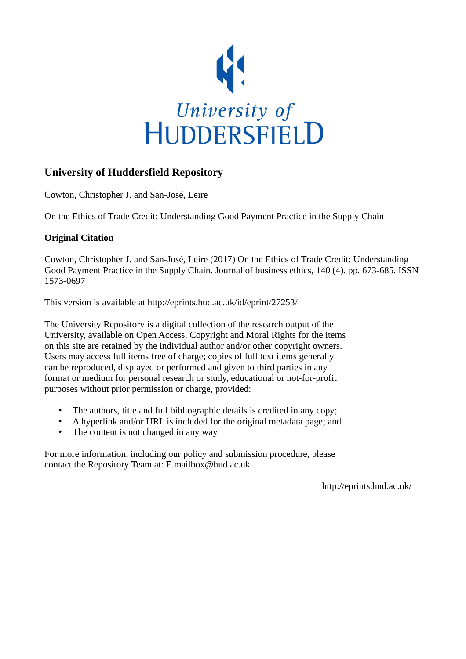

## **University of Huddersfield Repository**

Cowton, Christopher J. and San-José, Leire

On the Ethics of Trade Credit: Understanding Good Payment Practice in the Supply Chain

### **Original Citation**

Cowton, Christopher J. and San-José, Leire (2017) On the Ethics of Trade Credit: Understanding Good Payment Practice in the Supply Chain. Journal of business ethics, 140 (4). pp. 673-685. ISSN 1573-0697

This version is available at http://eprints.hud.ac.uk/id/eprint/27253/

The University Repository is a digital collection of the research output of the University, available on Open Access. Copyright and Moral Rights for the items on this site are retained by the individual author and/or other copyright owners. Users may access full items free of charge; copies of full text items generally can be reproduced, displayed or performed and given to third parties in any format or medium for personal research or study, educational or not-for-profit purposes without prior permission or charge, provided:

- The authors, title and full bibliographic details is credited in any copy;
- A hyperlink and/or URL is included for the original metadata page; and
- The content is not changed in any way.

For more information, including our policy and submission procedure, please contact the Repository Team at: E.mailbox@hud.ac.uk.

http://eprints.hud.ac.uk/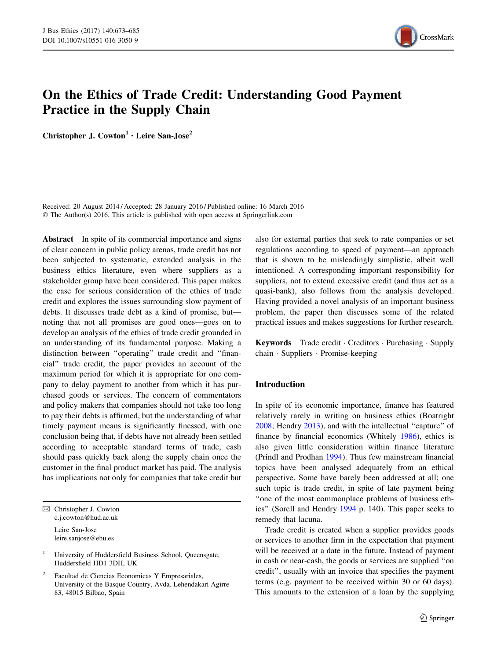

# On the Ethics of Trade Credit: Understanding Good Payment Practice in the Supply Chain

Christopher J. Cowton<sup>1</sup> · Leire San-Jose<sup>2</sup>

Received: 20 August 2014 / Accepted: 28 January 2016 / Published online: 16 March 2016 © The Author(s) 2016. This article is published with open access at Springerlink.com

Abstract In spite of its commercial importance and signs of clear concern in public policy arenas, trade credit has not been subjected to systematic, extended analysis in the business ethics literature, even where suppliers as a stakeholder group have been considered. This paper makes the case for serious consideration of the ethics of trade credit and explores the issues surrounding slow payment of debts. It discusses trade debt as a kind of promise, but noting that not all promises are good ones—goes on to develop an analysis of the ethics of trade credit grounded in an understanding of its fundamental purpose. Making a distinction between ''operating'' trade credit and ''financial'' trade credit, the paper provides an account of the maximum period for which it is appropriate for one company to delay payment to another from which it has purchased goods or services. The concern of commentators and policy makers that companies should not take too long to pay their debts is affirmed, but the understanding of what timely payment means is significantly finessed, with one conclusion being that, if debts have not already been settled according to acceptable standard terms of trade, cash should pass quickly back along the supply chain once the customer in the final product market has paid. The analysis has implications not only for companies that take credit but

 $\boxtimes$  Christopher J. Cowton c.j.cowton@hud.ac.uk Leire San-Jose

leire.sanjose@ehu.es

<sup>1</sup> University of Huddersfield Business School, Queensgate, Huddersfield HD1 3DH, UK

<sup>2</sup> Facultad de Ciencias Economicas Y Empresariales, University of the Basque Country, Avda. Lehendakari Agirre 83, 48015 Bilbao, Spain

also for external parties that seek to rate companies or set regulations according to speed of payment—an approach that is shown to be misleadingly simplistic, albeit well intentioned. A corresponding important responsibility for suppliers, not to extend excessive credit (and thus act as a quasi-bank), also follows from the analysis developed. Having provided a novel analysis of an important business problem, the paper then discusses some of the related practical issues and makes suggestions for further research.

Keywords Trade credit · Creditors · Purchasing · Supply chain - Suppliers - Promise-keeping

#### Introduction

In spite of its economic importance, finance has featured relatively rarely in writing on business ethics (Boatright [2008](#page-12-0); Hendry [2013](#page-12-0)), and with the intellectual ''capture'' of finance by financial economics (Whitely [1986\)](#page-13-0), ethics is also given little consideration within finance literature (Prindl and Prodhan [1994](#page-12-0)). Thus few mainstream financial topics have been analysed adequately from an ethical perspective. Some have barely been addressed at all; one such topic is trade credit, in spite of late payment being ''one of the most commonplace problems of business ethics'' (Sorell and Hendry [1994](#page-13-0) p. 140). This paper seeks to remedy that lacuna.

Trade credit is created when a supplier provides goods or services to another firm in the expectation that payment will be received at a date in the future. Instead of payment in cash or near-cash, the goods or services are supplied ''on credit'', usually with an invoice that specifies the payment terms (e.g. payment to be received within 30 or 60 days). This amounts to the extension of a loan by the supplying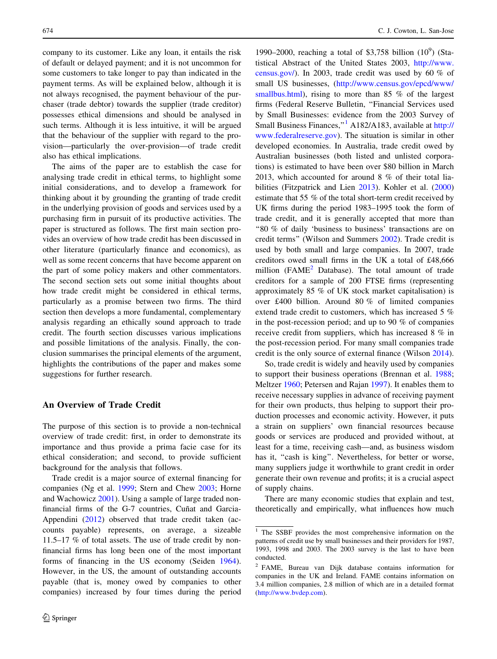company to its customer. Like any loan, it entails the risk of default or delayed payment; and it is not uncommon for some customers to take longer to pay than indicated in the payment terms. As will be explained below, although it is not always recognised, the payment behaviour of the purchaser (trade debtor) towards the supplier (trade creditor) possesses ethical dimensions and should be analysed in such terms. Although it is less intuitive, it will be argued that the behaviour of the supplier with regard to the provision—particularly the over-provision—of trade credit also has ethical implications.

The aims of the paper are to establish the case for analysing trade credit in ethical terms, to highlight some initial considerations, and to develop a framework for thinking about it by grounding the granting of trade credit in the underlying provision of goods and services used by a purchasing firm in pursuit of its productive activities. The paper is structured as follows. The first main section provides an overview of how trade credit has been discussed in other literature (particularly finance and economics), as well as some recent concerns that have become apparent on the part of some policy makers and other commentators. The second section sets out some initial thoughts about how trade credit might be considered in ethical terms, particularly as a promise between two firms. The third section then develops a more fundamental, complementary analysis regarding an ethically sound approach to trade credit. The fourth section discusses various implications and possible limitations of the analysis. Finally, the conclusion summarises the principal elements of the argument, highlights the contributions of the paper and makes some suggestions for further research.

#### An Overview of Trade Credit

The purpose of this section is to provide a non-technical overview of trade credit: first, in order to demonstrate its importance and thus provide a prima facie case for its ethical consideration; and second, to provide sufficient background for the analysis that follows.

Trade credit is a major source of external financing for companies (Ng et al. [1999](#page-12-0); Stern and Chew [2003;](#page-13-0) Horne and Wachowicz [2001\)](#page-13-0). Using a sample of large traded nonfinancial firms of the G-7 countries, Cuñat and Garcia-Appendini ([2012\)](#page-12-0) observed that trade credit taken (accounts payable) represents, on average, a sizeable 11.5–17 % of total assets. The use of trade credit by nonfinancial firms has long been one of the most important forms of financing in the US economy (Seiden [1964](#page-12-0)). However, in the US, the amount of outstanding accounts payable (that is, money owed by companies to other companies) increased by four times during the period

1990–2000, reaching a total of \$3,758 billion  $(10^9)$  (Statistical Abstract of the United States 2003, [http://www.](http://www.census.gov/) [census.gov/](http://www.census.gov/)). In 2003, trade credit was used by 60 % of small US businesses, [\(http://www.census.gov/epcd/www/](http://www.census.gov/epcd/www/smallbus.html) [smallbus.html\)](http://www.census.gov/epcd/www/smallbus.html), rising to more than 85 % of the largest firms (Federal Reserve Bulletin, ''Financial Services used by Small Businesses: evidence from the 2003 Survey of Small Business Finances,"<sup>1</sup> A182/A183, available at [http://](http://www.federalreserve.gov) [www.federalreserve.gov](http://www.federalreserve.gov)). The situation is similar in other developed economies. In Australia, trade credit owed by Australian businesses (both listed and unlisted corporations) is estimated to have been over \$80 billion in March 2013, which accounted for around 8 % of their total liabilities (Fitzpatrick and Lien [2013](#page-12-0)). Kohler et al. ([2000\)](#page-12-0) estimate that 55 % of the total short-term credit received by UK firms during the period 1983–1995 took the form of trade credit, and it is generally accepted that more than ''80 % of daily 'business to business' transactions are on credit terms'' (Wilson and Summers [2002](#page-13-0)). Trade credit is used by both small and large companies. In 2007, trade creditors owed small firms in the UK a total of £48,666 million ( $FAME<sup>2</sup>$  Database). The total amount of trade creditors for a sample of 200 FTSE firms (representing approximately 85 % of UK stock market capitalisation) is over £400 billion. Around 80 % of limited companies extend trade credit to customers, which has increased 5 % in the post-recession period; and up to 90 % of companies receive credit from suppliers, which has increased 8 % in the post-recession period. For many small companies trade credit is the only source of external finance (Wilson [2014](#page-13-0)).

So, trade credit is widely and heavily used by companies to support their business operations (Brennan et al. [1988](#page-12-0); Meltzer [1960;](#page-12-0) Petersen and Rajan [1997](#page-12-0)). It enables them to receive necessary supplies in advance of receiving payment for their own products, thus helping to support their production processes and economic activity. However, it puts a strain on suppliers' own financial resources because goods or services are produced and provided without, at least for a time, receiving cash—and, as business wisdom has it, "cash is king". Nevertheless, for better or worse, many suppliers judge it worthwhile to grant credit in order generate their own revenue and profits; it is a crucial aspect of supply chains.

There are many economic studies that explain and test, theoretically and empirically, what influences how much

<sup>&</sup>lt;sup>1</sup> The SSBF provides the most comprehensive information on the patterns of credit use by small businesses and their providers for 1987, 1993, 1998 and 2003. The 2003 survey is the last to have been conducted.

<sup>2</sup> FAME, Bureau van Dijk database contains information for companies in the UK and Ireland. FAME contains information on 3.4 million companies, 2.8 million of which are in a detailed format (<http://www.bvdep.com>).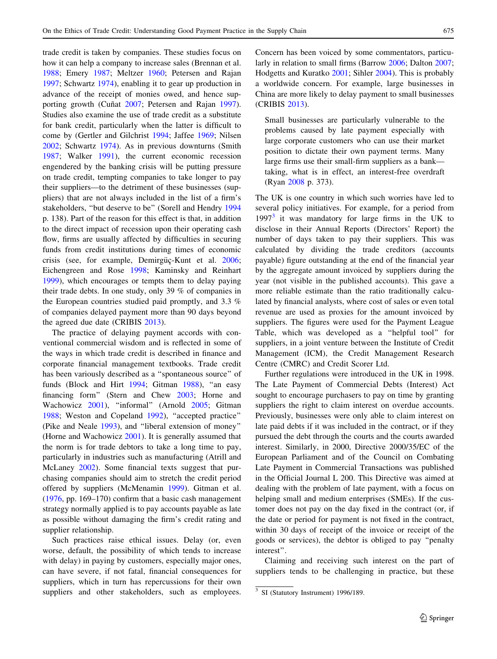trade credit is taken by companies. These studies focus on how it can help a company to increase sales (Brennan et al. [1988;](#page-12-0) Emery [1987;](#page-12-0) Meltzer [1960](#page-12-0); Petersen and Rajan [1997;](#page-12-0) Schwartz [1974\)](#page-12-0), enabling it to gear up production in advance of the receipt of monies owed, and hence sup-porting growth (Cuñat [2007;](#page-12-0) Petersen and Rajan [1997](#page-12-0)). Studies also examine the use of trade credit as a substitute for bank credit, particularly when the latter is difficult to come by (Gertler and Gilchrist [1994](#page-12-0); Jaffee [1969;](#page-12-0) Nilsen [2002;](#page-12-0) Schwartz [1974](#page-12-0)). As in previous downturns (Smith [1987;](#page-12-0) Walker [1991\)](#page-13-0), the current economic recession engendered by the banking crisis will be putting pressure on trade credit, tempting companies to take longer to pay their suppliers—to the detriment of these businesses (suppliers) that are not always included in the list of a firm's stakeholders, ''but deserve to be'' (Sorell and Hendry [1994](#page-13-0) p. 138). Part of the reason for this effect is that, in addition to the direct impact of recession upon their operating cash flow, firms are usually affected by difficulties in securing funds from credit institutions during times of economic crisis (see, for example, Demirgüç-Kunt et al. [2006](#page-12-0); Eichengreen and Rose [1998;](#page-12-0) Kaminsky and Reinhart [1999\)](#page-12-0), which encourages or tempts them to delay paying their trade debts. In one study, only 39 % of companies in the European countries studied paid promptly, and 3.3 % of companies delayed payment more than 90 days beyond the agreed due date (CRIBIS [2013](#page-12-0)).

The practice of delaying payment accords with conventional commercial wisdom and is reflected in some of the ways in which trade credit is described in finance and corporate financial management textbooks. Trade credit has been variously described as a ''spontaneous source'' of funds (Block and Hirt [1994](#page-12-0); Gitman [1988\)](#page-12-0), "an easy financing form'' (Stern and Chew [2003](#page-13-0); Horne and Wachowicz [2001](#page-13-0)), "informal" (Arnold [2005](#page-12-0); Gitman [1988;](#page-12-0) Weston and Copeland [1992\)](#page-13-0), ''accepted practice'' (Pike and Neale [1993\)](#page-12-0), and ''liberal extension of money'' (Horne and Wachowicz [2001\)](#page-13-0). It is generally assumed that the norm is for trade debtors to take a long time to pay, particularly in industries such as manufacturing (Atrill and McLaney [2002\)](#page-12-0). Some financial texts suggest that purchasing companies should aim to stretch the credit period offered by suppliers (McMenamin [1999](#page-12-0)). Gitman et al. [\(1976](#page-12-0), pp. 169–170) confirm that a basic cash management strategy normally applied is to pay accounts payable as late as possible without damaging the firm's credit rating and supplier relationship.

Such practices raise ethical issues. Delay (or, even worse, default, the possibility of which tends to increase with delay) in paying by customers, especially major ones, can have severe, if not fatal, financial consequences for suppliers, which in turn has repercussions for their own suppliers and other stakeholders, such as employees. Concern has been voiced by some commentators, particularly in relation to small firms (Barrow [2006;](#page-12-0) Dalton [2007](#page-12-0); Hodgetts and Kuratko [2001;](#page-12-0) Sihler [2004](#page-12-0)). This is probably a worldwide concern. For example, large businesses in China are more likely to delay payment to small businesses (CRIBIS [2013\)](#page-12-0).

Small businesses are particularly vulnerable to the problems caused by late payment especially with large corporate customers who can use their market position to dictate their own payment terms. Many large firms use their small-firm suppliers as a bank taking, what is in effect, an interest-free overdraft (Ryan [2008](#page-12-0) p. 373).

The UK is one country in which such worries have led to several policy initiatives. For example, for a period from  $1997<sup>3</sup>$  it was mandatory for large firms in the UK to disclose in their Annual Reports (Directors' Report) the number of days taken to pay their suppliers. This was calculated by dividing the trade creditors (accounts payable) figure outstanding at the end of the financial year by the aggregate amount invoiced by suppliers during the year (not visible in the published accounts). This gave a more reliable estimate than the ratio traditionally calculated by financial analysts, where cost of sales or even total revenue are used as proxies for the amount invoiced by suppliers. The figures were used for the Payment League Table, which was developed as a ''helpful tool'' for suppliers, in a joint venture between the Institute of Credit Management (ICM), the Credit Management Research Centre (CMRC) and Credit Scorer Ltd.

Further regulations were introduced in the UK in 1998. The Late Payment of Commercial Debts (Interest) Act sought to encourage purchasers to pay on time by granting suppliers the right to claim interest on overdue accounts. Previously, businesses were only able to claim interest on late paid debts if it was included in the contract, or if they pursued the debt through the courts and the courts awarded interest. Similarly, in 2000, Directive 2000/35/EC of the European Parliament and of the Council on Combating Late Payment in Commercial Transactions was published in the Official Journal L 200. This Directive was aimed at dealing with the problem of late payment, with a focus on helping small and medium enterprises (SMEs). If the customer does not pay on the day fixed in the contract (or, if the date or period for payment is not fixed in the contract, within 30 days of receipt of the invoice or receipt of the goods or services), the debtor is obliged to pay ''penalty interest''.

Claiming and receiving such interest on the part of suppliers tends to be challenging in practice, but these

<sup>&</sup>lt;sup>3</sup> SI (Statutory Instrument) 1996/189.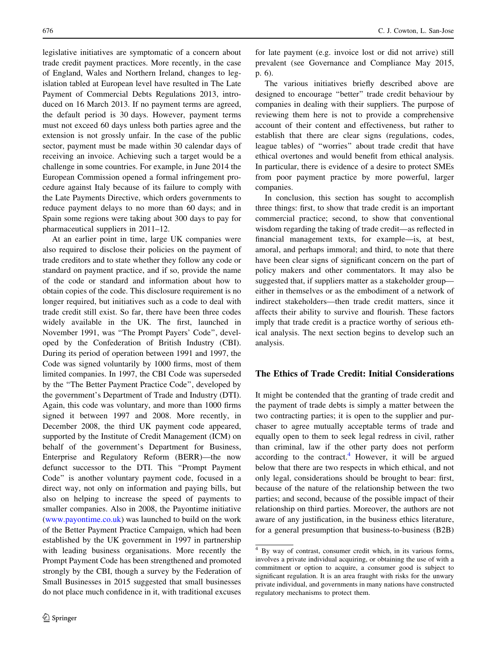legislative initiatives are symptomatic of a concern about trade credit payment practices. More recently, in the case of England, Wales and Northern Ireland, changes to legislation tabled at European level have resulted in The Late Payment of Commercial Debts Regulations 2013, introduced on 16 March 2013. If no payment terms are agreed, the default period is 30 days. However, payment terms must not exceed 60 days unless both parties agree and the extension is not grossly unfair. In the case of the public sector, payment must be made within 30 calendar days of receiving an invoice. Achieving such a target would be a challenge in some countries. For example, in June 2014 the European Commission opened a formal infringement procedure against Italy because of its failure to comply with the Late Payments Directive, which orders governments to reduce payment delays to no more than 60 days; and in Spain some regions were taking about 300 days to pay for pharmaceutical suppliers in 2011–12.

At an earlier point in time, large UK companies were also required to disclose their policies on the payment of trade creditors and to state whether they follow any code or standard on payment practice, and if so, provide the name of the code or standard and information about how to obtain copies of the code. This disclosure requirement is no longer required, but initiatives such as a code to deal with trade credit still exist. So far, there have been three codes widely available in the UK. The first, launched in November 1991, was ''The Prompt Payers' Code'', developed by the Confederation of British Industry (CBI). During its period of operation between 1991 and 1997, the Code was signed voluntarily by 1000 firms, most of them limited companies. In 1997, the CBI Code was superseded by the ''The Better Payment Practice Code'', developed by the government's Department of Trade and Industry (DTI). Again, this code was voluntary, and more than 1000 firms signed it between 1997 and 2008. More recently, in December 2008, the third UK payment code appeared, supported by the Institute of Credit Management (ICM) on behalf of the government's Department for Business, Enterprise and Regulatory Reform (BERR)—the now defunct successor to the DTI. This ''Prompt Payment Code'' is another voluntary payment code, focused in a direct way, not only on information and paying bills, but also on helping to increase the speed of payments to smaller companies. Also in 2008, the Payontime initiative [\(www.payontime.co.uk](http://www.payontime.co.uk)) was launched to build on the work of the Better Payment Practice Campaign, which had been established by the UK government in 1997 in partnership with leading business organisations. More recently the Prompt Payment Code has been strengthened and promoted strongly by the CBI, though a survey by the Federation of Small Businesses in 2015 suggested that small businesses do not place much confidence in it, with traditional excuses

for late payment (e.g. invoice lost or did not arrive) still prevalent (see Governance and Compliance May 2015, p. 6).

The various initiatives briefly described above are designed to encourage ''better'' trade credit behaviour by companies in dealing with their suppliers. The purpose of reviewing them here is not to provide a comprehensive account of their content and effectiveness, but rather to establish that there are clear signs (regulations, codes, league tables) of ''worries'' about trade credit that have ethical overtones and would benefit from ethical analysis. In particular, there is evidence of a desire to protect SMEs from poor payment practice by more powerful, larger companies.

In conclusion, this section has sought to accomplish three things: first, to show that trade credit is an important commercial practice; second, to show that conventional wisdom regarding the taking of trade credit—as reflected in financial management texts, for example—is, at best, amoral, and perhaps immoral; and third, to note that there have been clear signs of significant concern on the part of policy makers and other commentators. It may also be suggested that, if suppliers matter as a stakeholder group either in themselves or as the embodiment of a network of indirect stakeholders—then trade credit matters, since it affects their ability to survive and flourish. These factors imply that trade credit is a practice worthy of serious ethical analysis. The next section begins to develop such an analysis.

#### The Ethics of Trade Credit: Initial Considerations

It might be contended that the granting of trade credit and the payment of trade debts is simply a matter between the two contracting parties; it is open to the supplier and purchaser to agree mutually acceptable terms of trade and equally open to them to seek legal redress in civil, rather than criminal, law if the other party does not perform according to the contract. $4$  However, it will be argued below that there are two respects in which ethical, and not only legal, considerations should be brought to bear: first, because of the nature of the relationship between the two parties; and second, because of the possible impact of their relationship on third parties. Moreover, the authors are not aware of any justification, in the business ethics literature, for a general presumption that business-to-business (B2B)

<sup>4</sup> By way of contrast, consumer credit which, in its various forms, involves a private individual acquiring, or obtaining the use of with a commitment or option to acquire, a consumer good is subject to significant regulation. It is an area fraught with risks for the unwary private individual, and governments in many nations have constructed regulatory mechanisms to protect them.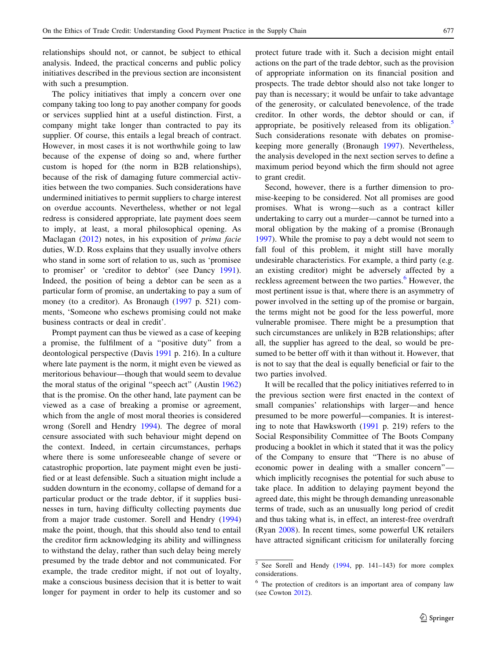relationships should not, or cannot, be subject to ethical analysis. Indeed, the practical concerns and public policy initiatives described in the previous section are inconsistent with such a presumption.

The policy initiatives that imply a concern over one company taking too long to pay another company for goods or services supplied hint at a useful distinction. First, a company might take longer than contracted to pay its supplier. Of course, this entails a legal breach of contract. However, in most cases it is not worthwhile going to law because of the expense of doing so and, where further custom is hoped for (the norm in B2B relationships), because of the risk of damaging future commercial activities between the two companies. Such considerations have undermined initiatives to permit suppliers to charge interest on overdue accounts. Nevertheless, whether or not legal redress is considered appropriate, late payment does seem to imply, at least, a moral philosophical opening. As Maclagan [\(2012](#page-12-0)) notes, in his exposition of prima facie duties, W.D. Ross explains that they usually involve others who stand in some sort of relation to us, such as 'promisee to promiser' or 'creditor to debtor' (see Dancy [1991](#page-12-0)). Indeed, the position of being a debtor can be seen as a particular form of promise, an undertaking to pay a sum of money (to a creditor). As Bronaugh [\(1997](#page-12-0) p. 521) comments, 'Someone who eschews promising could not make business contracts or deal in credit'.

Prompt payment can thus be viewed as a case of keeping a promise, the fulfilment of a ''positive duty'' from a deontological perspective (Davis [1991](#page-12-0) p. 216). In a culture where late payment is the norm, it might even be viewed as meritorious behaviour—though that would seem to devalue the moral status of the original ''speech act'' (Austin [1962\)](#page-12-0) that is the promise. On the other hand, late payment can be viewed as a case of breaking a promise or agreement, which from the angle of most moral theories is considered wrong (Sorell and Hendry [1994\)](#page-13-0). The degree of moral censure associated with such behaviour might depend on the context. Indeed, in certain circumstances, perhaps where there is some unforeseeable change of severe or catastrophic proportion, late payment might even be justified or at least defensible. Such a situation might include a sudden downturn in the economy, collapse of demand for a particular product or the trade debtor, if it supplies businesses in turn, having difficulty collecting payments due from a major trade customer. Sorell and Hendry ([1994\)](#page-13-0) make the point, though, that this should also tend to entail the creditor firm acknowledging its ability and willingness to withstand the delay, rather than such delay being merely presumed by the trade debtor and not communicated. For example, the trade creditor might, if not out of loyalty, make a conscious business decision that it is better to wait longer for payment in order to help its customer and so protect future trade with it. Such a decision might entail actions on the part of the trade debtor, such as the provision of appropriate information on its financial position and prospects. The trade debtor should also not take longer to pay than is necessary; it would be unfair to take advantage of the generosity, or calculated benevolence, of the trade creditor. In other words, the debtor should or can, if appropriate, be positively released from its obligation.<sup>5</sup> Such considerations resonate with debates on promisekeeping more generally (Bronaugh [1997](#page-12-0)). Nevertheless, the analysis developed in the next section serves to define a maximum period beyond which the firm should not agree to grant credit.

Second, however, there is a further dimension to promise-keeping to be considered. Not all promises are good promises. What is wrong—such as a contract killer undertaking to carry out a murder—cannot be turned into a moral obligation by the making of a promise (Bronaugh [1997](#page-12-0)). While the promise to pay a debt would not seem to fall foul of this problem, it might still have morally undesirable characteristics. For example, a third party (e.g. an existing creditor) might be adversely affected by a reckless agreement between the two parties.<sup>6</sup> However, the most pertinent issue is that, where there is an asymmetry of power involved in the setting up of the promise or bargain, the terms might not be good for the less powerful, more vulnerable promisee. There might be a presumption that such circumstances are unlikely in B2B relationships; after all, the supplier has agreed to the deal, so would be presumed to be better off with it than without it. However, that is not to say that the deal is equally beneficial or fair to the two parties involved.

It will be recalled that the policy initiatives referred to in the previous section were first enacted in the context of small companies' relationships with larger—and hence presumed to be more powerful—companies. It is interesting to note that Hawksworth [\(1991](#page-12-0) p. 219) refers to the Social Responsibility Committee of The Boots Company producing a booklet in which it stated that it was the policy of the Company to ensure that ''There is no abuse of economic power in dealing with a smaller concern'' which implicitly recognises the potential for such abuse to take place. In addition to delaying payment beyond the agreed date, this might be through demanding unreasonable terms of trade, such as an unusually long period of credit and thus taking what is, in effect, an interest-free overdraft (Ryan [2008\)](#page-12-0). In recent times, some powerful UK retailers have attracted significant criticism for unilaterally forcing

<sup>5</sup> See Sorell and Hendy [\(1994](#page-13-0), pp. 141–143) for more complex considerations.

<sup>6</sup> The protection of creditors is an important area of company law (see Cowton [2012](#page-12-0)).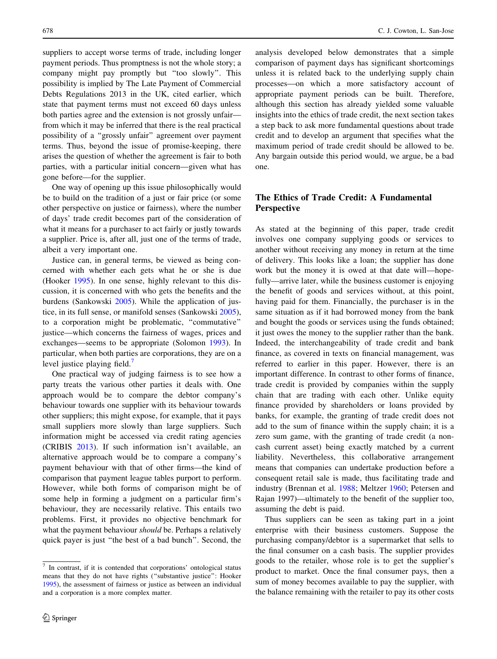suppliers to accept worse terms of trade, including longer payment periods. Thus promptness is not the whole story; a company might pay promptly but ''too slowly''. This possibility is implied by The Late Payment of Commercial Debts Regulations 2013 in the UK, cited earlier, which state that payment terms must not exceed 60 days unless both parties agree and the extension is not grossly unfair from which it may be inferred that there is the real practical possibility of a ''grossly unfair'' agreement over payment terms. Thus, beyond the issue of promise-keeping, there arises the question of whether the agreement is fair to both parties, with a particular initial concern—given what has gone before—for the supplier.

One way of opening up this issue philosophically would be to build on the tradition of a just or fair price (or some other perspective on justice or fairness), where the number of days' trade credit becomes part of the consideration of what it means for a purchaser to act fairly or justly towards a supplier. Price is, after all, just one of the terms of trade, albeit a very important one.

Justice can, in general terms, be viewed as being concerned with whether each gets what he or she is due (Hooker [1995](#page-12-0)). In one sense, highly relevant to this discussion, it is concerned with who gets the benefits and the burdens (Sankowski [2005\)](#page-12-0). While the application of justice, in its full sense, or manifold senses (Sankowski [2005](#page-12-0)), to a corporation might be problematic, ''commutative'' justice—which concerns the fairness of wages, prices and exchanges—seems to be appropriate (Solomon [1993\)](#page-12-0). In particular, when both parties are corporations, they are on a level justice playing field.<sup>7</sup>

One practical way of judging fairness is to see how a party treats the various other parties it deals with. One approach would be to compare the debtor company's behaviour towards one supplier with its behaviour towards other suppliers; this might expose, for example, that it pays small suppliers more slowly than large suppliers. Such information might be accessed via credit rating agencies (CRIBIS [2013\)](#page-12-0). If such information isn't available, an alternative approach would be to compare a company's payment behaviour with that of other firms—the kind of comparison that payment league tables purport to perform. However, while both forms of comparison might be of some help in forming a judgment on a particular firm's behaviour, they are necessarily relative. This entails two problems. First, it provides no objective benchmark for what the payment behaviour should be. Perhaps a relatively quick payer is just ''the best of a bad bunch''. Second, the

 $\frac{7}{1}$  In contrast, if it is contended that corporations' ontological status means that they do not have rights (''substantive justice'': Hooker [1995\)](#page-12-0), the assessment of fairness or justice as between an individual and a corporation is a more complex matter.

analysis developed below demonstrates that a simple comparison of payment days has significant shortcomings unless it is related back to the underlying supply chain processes—on which a more satisfactory account of appropriate payment periods can be built. Therefore, although this section has already yielded some valuable insights into the ethics of trade credit, the next section takes a step back to ask more fundamental questions about trade credit and to develop an argument that specifies what the maximum period of trade credit should be allowed to be. Any bargain outside this period would, we argue, be a bad one.

### The Ethics of Trade Credit: A Fundamental **Perspective**

As stated at the beginning of this paper, trade credit involves one company supplying goods or services to another without receiving any money in return at the time of delivery. This looks like a loan; the supplier has done work but the money it is owed at that date will—hopefully—arrive later, while the business customer is enjoying the benefit of goods and services without, at this point, having paid for them. Financially, the purchaser is in the same situation as if it had borrowed money from the bank and bought the goods or services using the funds obtained; it just owes the money to the supplier rather than the bank. Indeed, the interchangeability of trade credit and bank finance, as covered in texts on financial management, was referred to earlier in this paper. However, there is an important difference. In contrast to other forms of finance, trade credit is provided by companies within the supply chain that are trading with each other. Unlike equity finance provided by shareholders or loans provided by banks, for example, the granting of trade credit does not add to the sum of finance within the supply chain; it is a zero sum game, with the granting of trade credit (a noncash current asset) being exactly matched by a current liability. Nevertheless, this collaborative arrangement means that companies can undertake production before a consequent retail sale is made, thus facilitating trade and industry (Brennan et al. [1988](#page-12-0); Meltzer [1960;](#page-12-0) Petersen and Rajan 1997)—ultimately to the benefit of the supplier too, assuming the debt is paid.

Thus suppliers can be seen as taking part in a joint enterprise with their business customers. Suppose the purchasing company/debtor is a supermarket that sells to the final consumer on a cash basis. The supplier provides goods to the retailer, whose role is to get the supplier's product to market. Once the final consumer pays, then a sum of money becomes available to pay the supplier, with the balance remaining with the retailer to pay its other costs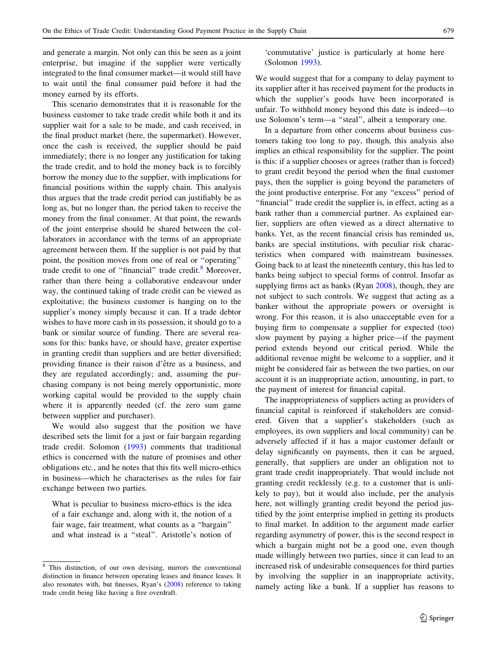and generate a margin. Not only can this be seen as a joint enterprise, but imagine if the supplier were vertically integrated to the final consumer market—it would still have to wait until the final consumer paid before it had the money earned by its efforts.

This scenario demonstrates that it is reasonable for the business customer to take trade credit while both it and its supplier wait for a sale to be made, and cash received, in the final product market (here, the supermarket). However, once the cash is received, the supplier should be paid immediately; there is no longer any justification for taking the trade credit, and to hold the money back is to forcibly borrow the money due to the supplier, with implications for financial positions within the supply chain. This analysis thus argues that the trade credit period can justifiably be as long as, but no longer than, the period taken to receive the money from the final consumer. At that point, the rewards of the joint enterprise should be shared between the collaborators in accordance with the terms of an appropriate agreement between them. If the supplier is not paid by that point, the position moves from one of real or ''operating'' trade credit to one of "financial" trade credit.<sup>8</sup> Moreover, rather than there being a collaborative endeavour under way, the continued taking of trade credit can be viewed as exploitative; the business customer is hanging on to the supplier's money simply because it can. If a trade debtor wishes to have more cash in its possession, it should go to a bank or similar source of funding. There are several reasons for this: banks have, or should have, greater expertise in granting credit than suppliers and are better diversified; providing finance is their raison d'être as a business, and they are regulated accordingly; and, assuming the purchasing company is not being merely opportunistic, more working capital would be provided to the supply chain where it is apparently needed (cf. the zero sum game between supplier and purchaser).

We would also suggest that the position we have described sets the limit for a just or fair bargain regarding trade credit. Solomon [\(1993](#page-12-0)) comments that traditional ethics is concerned with the nature of promises and other obligations etc., and he notes that this fits well micro-ethics in business—which he characterises as the rules for fair exchange between two parties.

What is peculiar to business micro-ethics is the idea of a fair exchange and, along with it, the notion of a fair wage, fair treatment, what counts as a ''bargain'' and what instead is a ''steal''. Aristotle's notion of

'commutative' justice is particularly at home here (Solomon [1993](#page-12-0)).

We would suggest that for a company to delay payment to its supplier after it has received payment for the products in which the supplier's goods have been incorporated is unfair. To withhold money beyond this date is indeed—to use Solomon's term—a ''steal'', albeit a temporary one.

In a departure from other concerns about business customers taking too long to pay, though, this analysis also implies an ethical responsibility for the supplier. The point is this: if a supplier chooses or agrees (rather than is forced) to grant credit beyond the period when the final customer pays, then the supplier is going beyond the parameters of the joint productive enterprise. For any ''excess'' period of "financial" trade credit the supplier is, in effect, acting as a bank rather than a commercial partner. As explained earlier, suppliers are often viewed as a direct alternative to banks. Yet, as the recent financial crisis has reminded us, banks are special institutions, with peculiar risk characteristics when compared with mainstream businesses. Going back to at least the nineteenth century, this has led to banks being subject to special forms of control. Insofar as supplying firms act as banks (Ryan [2008](#page-12-0)), though, they are not subject to such controls. We suggest that acting as a banker without the appropriate powers or oversight is wrong. For this reason, it is also unacceptable even for a buying firm to compensate a supplier for expected (too) slow payment by paying a higher price—if the payment period extends beyond our critical period. While the additional revenue might be welcome to a supplier, and it might be considered fair as between the two parties, on our account it is an inappropriate action, amounting, in part, to the payment of interest for financial capital.

The inappropriateness of suppliers acting as providers of financial capital is reinforced if stakeholders are considered. Given that a supplier's stakeholders (such as employees, its own suppliers and local community) can be adversely affected if it has a major customer default or delay significantly on payments, then it can be argued, generally, that suppliers are under an obligation not to grant trade credit inappropriately. That would include not granting credit recklessly (e.g. to a customer that is unlikely to pay), but it would also include, per the analysis here, not willingly granting credit beyond the period justified by the joint enterprise implied in getting its products to final market. In addition to the argument made earlier regarding asymmetry of power, this is the second respect in which a bargain might not be a good one, even though made willingly between two parties, since it can lead to an increased risk of undesirable consequences for third parties by involving the supplier in an inappropriate activity, namely acting like a bank. If a supplier has reasons to

<sup>8</sup> This distinction, of our own devising, mirrors the conventional distinction in finance between operating leases and finance leases. It also resonates with, but finesses, Ryan's ([2008\)](#page-12-0) reference to taking trade credit being like having a free overdraft.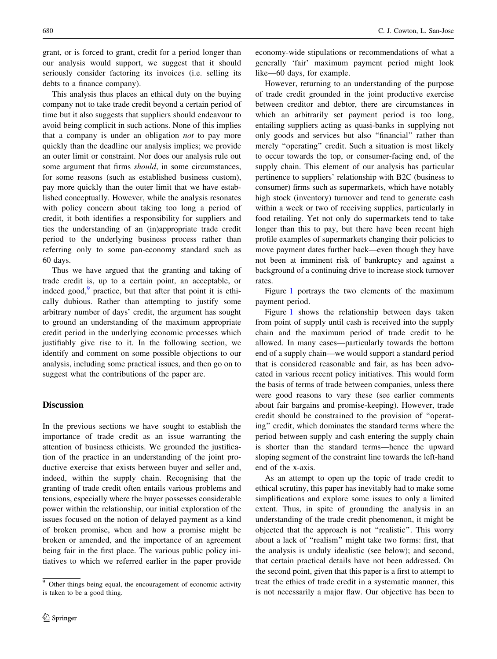grant, or is forced to grant, credit for a period longer than our analysis would support, we suggest that it should seriously consider factoring its invoices (i.e. selling its debts to a finance company).

This analysis thus places an ethical duty on the buying company not to take trade credit beyond a certain period of time but it also suggests that suppliers should endeavour to avoid being complicit in such actions. None of this implies that a company is under an obligation not to pay more quickly than the deadline our analysis implies; we provide an outer limit or constraint. Nor does our analysis rule out some argument that firms *should*, in some circumstances, for some reasons (such as established business custom), pay more quickly than the outer limit that we have established conceptually. However, while the analysis resonates with policy concern about taking too long a period of credit, it both identifies a responsibility for suppliers and ties the understanding of an (in)appropriate trade credit period to the underlying business process rather than referring only to some pan-economy standard such as 60 days.

Thus we have argued that the granting and taking of trade credit is, up to a certain point, an acceptable, or indeed good, $9$  practice, but that after that point it is ethically dubious. Rather than attempting to justify some arbitrary number of days' credit, the argument has sought to ground an understanding of the maximum appropriate credit period in the underlying economic processes which justifiably give rise to it. In the following section, we identify and comment on some possible objections to our analysis, including some practical issues, and then go on to suggest what the contributions of the paper are.

#### Discussion

In the previous sections we have sought to establish the importance of trade credit as an issue warranting the attention of business ethicists. We grounded the justification of the practice in an understanding of the joint productive exercise that exists between buyer and seller and, indeed, within the supply chain. Recognising that the granting of trade credit often entails various problems and tensions, especially where the buyer possesses considerable power within the relationship, our initial exploration of the issues focused on the notion of delayed payment as a kind of broken promise, when and how a promise might be broken or amended, and the importance of an agreement being fair in the first place. The various public policy initiatives to which we referred earlier in the paper provide economy-wide stipulations or recommendations of what a generally 'fair' maximum payment period might look like—60 days, for example.

However, returning to an understanding of the purpose of trade credit grounded in the joint productive exercise between creditor and debtor, there are circumstances in which an arbitrarily set payment period is too long, entailing suppliers acting as quasi-banks in supplying not only goods and services but also ''financial'' rather than merely "operating" credit. Such a situation is most likely to occur towards the top, or consumer-facing end, of the supply chain. This element of our analysis has particular pertinence to suppliers' relationship with B2C (business to consumer) firms such as supermarkets, which have notably high stock (inventory) turnover and tend to generate cash within a week or two of receiving supplies, particularly in food retailing. Yet not only do supermarkets tend to take longer than this to pay, but there have been recent high profile examples of supermarkets changing their policies to move payment dates further back—even though they have not been at imminent risk of bankruptcy and against a background of a continuing drive to increase stock turnover rates.

Figure [1](#page-9-0) portrays the two elements of the maximum payment period.

Figure [1](#page-9-0) shows the relationship between days taken from point of supply until cash is received into the supply chain and the maximum period of trade credit to be allowed. In many cases—particularly towards the bottom end of a supply chain—we would support a standard period that is considered reasonable and fair, as has been advocated in various recent policy initiatives. This would form the basis of terms of trade between companies, unless there were good reasons to vary these (see earlier comments about fair bargains and promise-keeping). However, trade credit should be constrained to the provision of ''operating'' credit, which dominates the standard terms where the period between supply and cash entering the supply chain is shorter than the standard terms—hence the upward sloping segment of the constraint line towards the left-hand end of the x-axis.

As an attempt to open up the topic of trade credit to ethical scrutiny, this paper has inevitably had to make some simplifications and explore some issues to only a limited extent. Thus, in spite of grounding the analysis in an understanding of the trade credit phenomenon, it might be objected that the approach is not ''realistic''. This worry about a lack of ''realism'' might take two forms: first, that the analysis is unduly idealistic (see below); and second, that certain practical details have not been addressed. On the second point, given that this paper is a first to attempt to treat the ethics of trade credit in a systematic manner, this is not necessarily a major flaw. Our objective has been to

<sup>&</sup>lt;sup>9</sup> Other things being equal, the encouragement of economic activity is taken to be a good thing.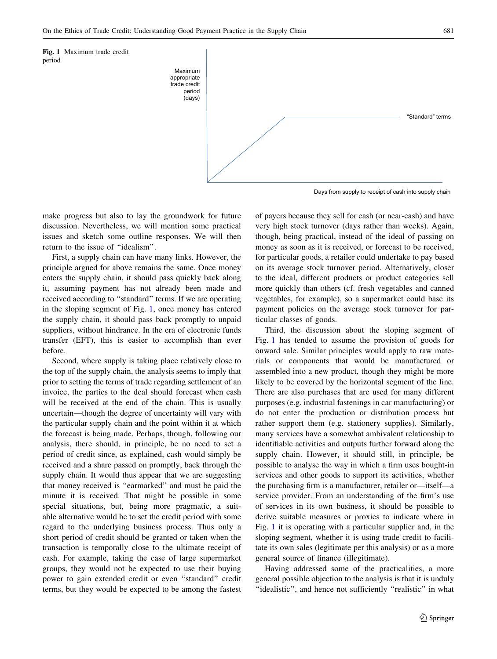<span id="page-9-0"></span>



Days from supply to receipt of cash into supply chain

make progress but also to lay the groundwork for future discussion. Nevertheless, we will mention some practical issues and sketch some outline responses. We will then return to the issue of ''idealism''.

First, a supply chain can have many links. However, the principle argued for above remains the same. Once money enters the supply chain, it should pass quickly back along it, assuming payment has not already been made and received according to ''standard'' terms. If we are operating in the sloping segment of Fig. 1, once money has entered the supply chain, it should pass back promptly to unpaid suppliers, without hindrance. In the era of electronic funds transfer (EFT), this is easier to accomplish than ever before.

Second, where supply is taking place relatively close to the top of the supply chain, the analysis seems to imply that prior to setting the terms of trade regarding settlement of an invoice, the parties to the deal should forecast when cash will be received at the end of the chain. This is usually uncertain—though the degree of uncertainty will vary with the particular supply chain and the point within it at which the forecast is being made. Perhaps, though, following our analysis, there should, in principle, be no need to set a period of credit since, as explained, cash would simply be received and a share passed on promptly, back through the supply chain. It would thus appear that we are suggesting that money received is ''earmarked'' and must be paid the minute it is received. That might be possible in some special situations, but, being more pragmatic, a suitable alternative would be to set the credit period with some regard to the underlying business process. Thus only a short period of credit should be granted or taken when the transaction is temporally close to the ultimate receipt of cash. For example, taking the case of large supermarket groups, they would not be expected to use their buying power to gain extended credit or even ''standard'' credit terms, but they would be expected to be among the fastest of payers because they sell for cash (or near-cash) and have very high stock turnover (days rather than weeks). Again, though, being practical, instead of the ideal of passing on money as soon as it is received, or forecast to be received, for particular goods, a retailer could undertake to pay based on its average stock turnover period. Alternatively, closer to the ideal, different products or product categories sell more quickly than others (cf. fresh vegetables and canned vegetables, for example), so a supermarket could base its payment policies on the average stock turnover for particular classes of goods.

Third, the discussion about the sloping segment of Fig. 1 has tended to assume the provision of goods for onward sale. Similar principles would apply to raw materials or components that would be manufactured or assembled into a new product, though they might be more likely to be covered by the horizontal segment of the line. There are also purchases that are used for many different purposes (e.g. industrial fastenings in car manufacturing) or do not enter the production or distribution process but rather support them (e.g. stationery supplies). Similarly, many services have a somewhat ambivalent relationship to identifiable activities and outputs further forward along the supply chain. However, it should still, in principle, be possible to analyse the way in which a firm uses bought-in services and other goods to support its activities, whether the purchasing firm is a manufacturer, retailer or—itself—a service provider. From an understanding of the firm's use of services in its own business, it should be possible to derive suitable measures or proxies to indicate where in Fig. 1 it is operating with a particular supplier and, in the sloping segment, whether it is using trade credit to facilitate its own sales (legitimate per this analysis) or as a more general source of finance (illegitimate).

Having addressed some of the practicalities, a more general possible objection to the analysis is that it is unduly "idealistic", and hence not sufficiently "realistic" in what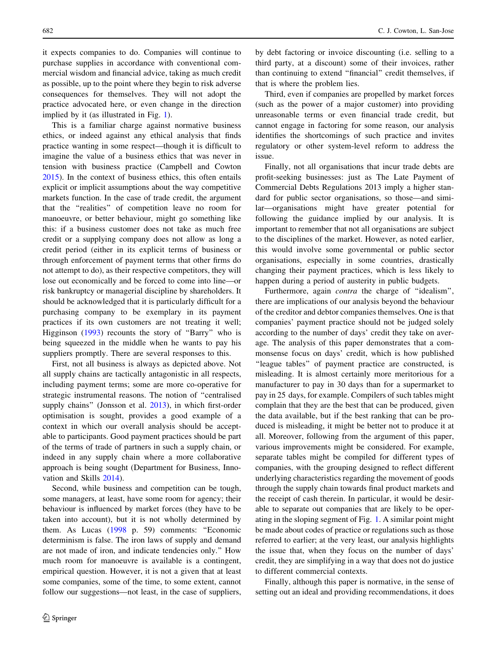it expects companies to do. Companies will continue to purchase supplies in accordance with conventional commercial wisdom and financial advice, taking as much credit as possible, up to the point where they begin to risk adverse consequences for themselves. They will not adopt the practice advocated here, or even change in the direction implied by it (as illustrated in Fig. [1\)](#page-9-0).

This is a familiar charge against normative business ethics, or indeed against any ethical analysis that finds practice wanting in some respect—though it is difficult to imagine the value of a business ethics that was never in tension with business practice (Campbell and Cowton [2015\)](#page-12-0). In the context of business ethics, this often entails explicit or implicit assumptions about the way competitive markets function. In the case of trade credit, the argument that the ''realities'' of competition leave no room for manoeuvre, or better behaviour, might go something like this: if a business customer does not take as much free credit or a supplying company does not allow as long a credit period (either in its explicit terms of business or through enforcement of payment terms that other firms do not attempt to do), as their respective competitors, they will lose out economically and be forced to come into line—or risk bankruptcy or managerial discipline by shareholders. It should be acknowledged that it is particularly difficult for a purchasing company to be exemplary in its payment practices if its own customers are not treating it well; Higginson ([1993\)](#page-12-0) recounts the story of ''Barry'' who is being squeezed in the middle when he wants to pay his suppliers promptly. There are several responses to this.

First, not all business is always as depicted above. Not all supply chains are tactically antagonistic in all respects, including payment terms; some are more co-operative for strategic instrumental reasons. The notion of ''centralised supply chains'' (Jonsson et al. [2013\)](#page-12-0), in which first-order optimisation is sought, provides a good example of a context in which our overall analysis should be acceptable to participants. Good payment practices should be part of the terms of trade of partners in such a supply chain, or indeed in any supply chain where a more collaborative approach is being sought (Department for Business, Innovation and Skills [2014](#page-12-0)).

Second, while business and competition can be tough, some managers, at least, have some room for agency; their behaviour is influenced by market forces (they have to be taken into account), but it is not wholly determined by them. As Lucas ([1998](#page-12-0) p. 59) comments: "Economic determinism is false. The iron laws of supply and demand are not made of iron, and indicate tendencies only.'' How much room for manoeuvre is available is a contingent, empirical question. However, it is not a given that at least some companies, some of the time, to some extent, cannot follow our suggestions—not least, in the case of suppliers, by debt factoring or invoice discounting (i.e. selling to a third party, at a discount) some of their invoices, rather than continuing to extend ''financial'' credit themselves, if that is where the problem lies.

Third, even if companies are propelled by market forces (such as the power of a major customer) into providing unreasonable terms or even financial trade credit, but cannot engage in factoring for some reason, our analysis identifies the shortcomings of such practice and invites regulatory or other system-level reform to address the issue.

Finally, not all organisations that incur trade debts are profit-seeking businesses: just as The Late Payment of Commercial Debts Regulations 2013 imply a higher standard for public sector organisations, so those—and similar—organisations might have greater potential for following the guidance implied by our analysis. It is important to remember that not all organisations are subject to the disciplines of the market. However, as noted earlier, this would involve some governmental or public sector organisations, especially in some countries, drastically changing their payment practices, which is less likely to happen during a period of austerity in public budgets.

Furthermore, again *contra* the charge of "idealism", there are implications of our analysis beyond the behaviour of the creditor and debtor companies themselves. One is that companies' payment practice should not be judged solely according to the number of days' credit they take on average. The analysis of this paper demonstrates that a commonsense focus on days' credit, which is how published ''league tables'' of payment practice are constructed, is misleading. It is almost certainly more meritorious for a manufacturer to pay in 30 days than for a supermarket to pay in 25 days, for example. Compilers of such tables might complain that they are the best that can be produced, given the data available, but if the best ranking that can be produced is misleading, it might be better not to produce it at all. Moreover, following from the argument of this paper, various improvements might be considered. For example, separate tables might be compiled for different types of companies, with the grouping designed to reflect different underlying characteristics regarding the movement of goods through the supply chain towards final product markets and the receipt of cash therein. In particular, it would be desirable to separate out companies that are likely to be operating in the sloping segment of Fig. [1](#page-9-0). A similar point might be made about codes of practice or regulations such as those referred to earlier; at the very least, our analysis highlights the issue that, when they focus on the number of days' credit, they are simplifying in a way that does not do justice to different commercial contexts.

Finally, although this paper is normative, in the sense of setting out an ideal and providing recommendations, it does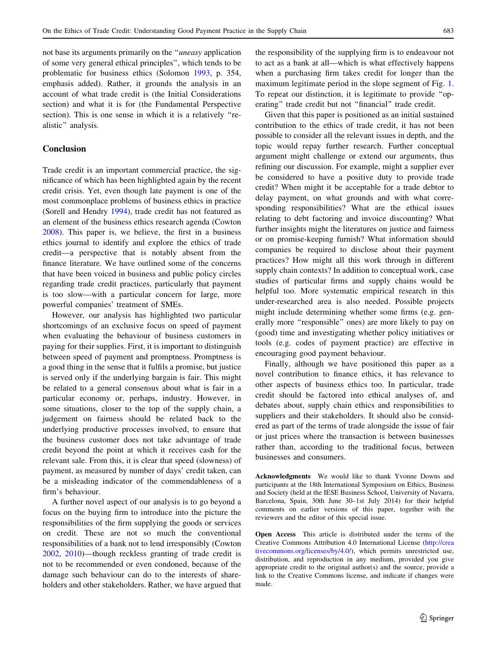not base its arguments primarily on the ''uneasy application of some very general ethical principles'', which tends to be problematic for business ethics (Solomon [1993,](#page-12-0) p. 354, emphasis added). Rather, it grounds the analysis in an account of what trade credit is (the Initial Considerations section) and what it is for (the Fundamental Perspective section). This is one sense in which it is a relatively "realistic'' analysis.

#### **Conclusion**

Trade credit is an important commercial practice, the significance of which has been highlighted again by the recent credit crisis. Yet, even though late payment is one of the most commonplace problems of business ethics in practice (Sorell and Hendry [1994\)](#page-13-0), trade credit has not featured as an element of the business ethics research agenda (Cowton [2008\)](#page-12-0). This paper is, we believe, the first in a business ethics journal to identify and explore the ethics of trade credit—a perspective that is notably absent from the finance literature. We have outlined some of the concerns that have been voiced in business and public policy circles regarding trade credit practices, particularly that payment is too slow—with a particular concern for large, more powerful companies' treatment of SMEs.

However, our analysis has highlighted two particular shortcomings of an exclusive focus on speed of payment when evaluating the behaviour of business customers in paying for their supplies. First, it is important to distinguish between speed of payment and promptness. Promptness is a good thing in the sense that it fulfils a promise, but justice is served only if the underlying bargain is fair. This might be related to a general consensus about what is fair in a particular economy or, perhaps, industry. However, in some situations, closer to the top of the supply chain, a judgement on fairness should be related back to the underlying productive processes involved, to ensure that the business customer does not take advantage of trade credit beyond the point at which it receives cash for the relevant sale. From this, it is clear that speed (slowness) of payment, as measured by number of days' credit taken, can be a misleading indicator of the commendableness of a firm's behaviour.

A further novel aspect of our analysis is to go beyond a focus on the buying firm to introduce into the picture the responsibilities of the firm supplying the goods or services on credit. These are not so much the conventional responsibilities of a bank not to lend irresponsibly (Cowton [2002,](#page-12-0) [2010\)](#page-12-0)—though reckless granting of trade credit is not to be recommended or even condoned, because of the damage such behaviour can do to the interests of shareholders and other stakeholders. Rather, we have argued that the responsibility of the supplying firm is to endeavour not to act as a bank at all—which is what effectively happens when a purchasing firm takes credit for longer than the maximum legitimate period in the slope segment of Fig. [1.](#page-9-0) To repeat our distinction, it is legitimate to provide ''operating'' trade credit but not ''financial'' trade credit.

Given that this paper is positioned as an initial sustained contribution to the ethics of trade credit, it has not been possible to consider all the relevant issues in depth, and the topic would repay further research. Further conceptual argument might challenge or extend our arguments, thus refining our discussion. For example, might a supplier ever be considered to have a positive duty to provide trade credit? When might it be acceptable for a trade debtor to delay payment, on what grounds and with what corresponding responsibilities? What are the ethical issues relating to debt factoring and invoice discounting? What further insights might the literatures on justice and fairness or on promise-keeping furnish? What information should companies be required to disclose about their payment practices? How might all this work through in different supply chain contexts? In addition to conceptual work, case studies of particular firms and supply chains would be helpful too. More systematic empirical research in this under-researched area is also needed. Possible projects might include determining whether some firms (e.g. generally more "responsible" ones) are more likely to pay on (good) time and investigating whether policy initiatives or tools (e.g. codes of payment practice) are effective in encouraging good payment behaviour.

Finally, although we have positioned this paper as a novel contribution to finance ethics, it has relevance to other aspects of business ethics too. In particular, trade credit should be factored into ethical analyses of, and debates about, supply chain ethics and responsibilities to suppliers and their stakeholders. It should also be considered as part of the terms of trade alongside the issue of fair or just prices where the transaction is between businesses rather than, according to the traditional focus, between businesses and consumers.

Acknowledgments We would like to thank Yvonne Downs and participants at the 18th International Symposium on Ethics, Business and Society (held at the IESE Business School, University of Navarra, Barcelona, Spain, 30th June 30–1st July 2014) for their helpful comments on earlier versions of this paper, together with the reviewers and the editor of this special issue.

Open Access This article is distributed under the terms of the Creative Commons Attribution 4.0 International License ([http://crea](http://creativecommons.org/licenses/by/4.0/) [tivecommons.org/licenses/by/4.0/\)](http://creativecommons.org/licenses/by/4.0/), which permits unrestricted use, distribution, and reproduction in any medium, provided you give appropriate credit to the original author(s) and the source, provide a link to the Creative Commons license, and indicate if changes were made.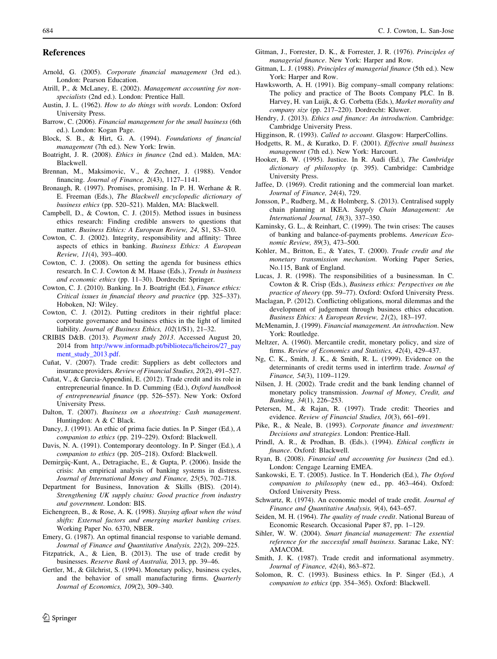#### <span id="page-12-0"></span>References

- Arnold, G. (2005). Corporate financial management (3rd ed.). London: Pearson Education.
- Atrill, P., & McLaney, E. (2002). Management accounting for nonspecialists (2nd ed.). London: Prentice Hall.
- Austin, J. L. (1962). How to do things with words. London: Oxford University Press.
- Barrow, C. (2006). Financial management for the small business (6th ed.). London: Kogan Page.
- Block, S. B., & Hirt, G. A. (1994). Foundations of financial management (7th ed.). New York: Irwin.
- Boatright, J. R. (2008). Ethics in finance (2nd ed.). Malden, MA: Blackwell.
- Brennan, M., Maksimovic, V., & Zechner, J. (1988). Vendor financing. Journal of Finance, 2(43), 1127–1141.
- Bronaugh, R. (1997). Promises, promising. In P. H. Werhane & R. E. Freeman (Eds.), The Blackwell encyclopedic dictionary of business ethics (pp. 520–521). Malden, MA: Blackwell.
- Campbell, D., & Cowton, C. J. (2015). Method issues in business ethics research: Finding credible answers to questions that matter. Business Ethics: A European Review, 24, S1, S3–S10.
- Cowton, C. J. (2002). Integrity, responsibility and affinity: Three aspects of ethics in banking. Business Ethics: A European Review, 11(4), 393–400.
- Cowton, C. J. (2008). On setting the agenda for business ethics research. In C. J. Cowton & M. Haase (Eds.), Trends in business and economic ethics (pp. 11–30). Dordrecht: Springer.
- Cowton, C. J. (2010). Banking. In J. Boatright (Ed.), Finance ethics: Critical issues in financial theory and practice (pp. 325–337). Hoboken, NJ: Wiley.
- Cowton, C. J. (2012). Putting creditors in their rightful place: corporate governance and business ethics in the light of limited liability. Journal of Business Ethics, 102(1/S1), 21–32.
- CRIBIS D&B. (2013). Payment study 2013. Accessed August 20, 2014 from [http://www.informadb.pt/biblioteca/ficheiros/27\\_pay](http://www.informadb.pt/biblioteca/ficheiros/27_payment_study_2013.pdf) [ment\\_study\\_2013.pdf](http://www.informadb.pt/biblioteca/ficheiros/27_payment_study_2013.pdf).
- Cuñat, V. (2007). Trade credit: Suppliers as debt collectors and insurance providers. Review of Financial Studies, 20(2), 491–527.
- Cuñat, V., & Garcia-Appendini, E. (2012). Trade credit and its role in entrepreneurial finance. In D. Cumming (Ed.), Oxford handbook of entrepreneurial finance (pp. 526–557). New York: Oxford University Press.
- Dalton, T. (2007). Business on a shoestring: Cash management. Huntingdon: A & C Black.
- Dancy, J. (1991). An ethic of prima facie duties. In P. Singer (Ed.), A companion to ethics (pp. 219–229). Oxford: Blackwell.
- Davis, N. A. (1991). Contemporary deontology. In P. Singer (Ed.), A companion to ethics (pp. 205–218). Oxford: Blackwell.
- Demirgüç-Kunt, A., Detragiache, E., & Gupta, P. (2006). Inside the crisis: An empirical analysis of banking systems in distress. Journal of International Money and Finance, 25(5), 702–718.
- Department for Business, Innovation & Skills (BIS). (2014). Strengthening UK supply chains: Good practice from industry and government. London: BIS.
- Eichengreen, B., & Rose, A. K. (1998). Staying afloat when the wind shifts: External factors and emerging market banking crises. Working Paper No. 6370, NBER.
- Emery, G. (1987). An optimal financial response to variable demand. Journal of Finance and Quantitative Analysis, 22(2), 209–225.
- Fitzpatrick, A., & Lien, B. (2013). The use of trade credit by businesses. Reserve Bank of Australia, 2013, pp. 39–46.
- Gertler, M., & Gilchrist, S. (1994). Monetary policy, business cycles, and the behavior of small manufacturing firms. Quarterly Journal of Economics, 109(2), 309–340.
- Gitman, J., Forrester, D. K., & Forrester, J. R. (1976). Principles of managerial finance. New York: Harper and Row.
- Gitman, L. J. (1988). Principles of managerial finance (5th ed.). New York: Harper and Row.
- Hawksworth, A. H. (1991). Big company–small company relations: The policy and practice of The Boots Company PLC. In B. Harvey, H. van Luijk, & G. Corbetta (Eds.), Market morality and company size (pp. 217–220). Dordrecht: Kluwer.
- Hendry, J. (2013). Ethics and finance: An introduction. Cambridge: Cambridge University Press.
- Higginson, R. (1993). Called to account. Glasgow: HarperCollins.
- Hodgetts, R. M., & Kuratko, D. F. (2001). Effective small business management (7th ed.). New York: Harcourt.
- Hooker, B. W. (1995). Justice. In R. Audi (Ed.), The Cambridge dictionary of philosophy (p. 395). Cambridge: Cambridge University Press.
- Jaffee, D. (1969). Credit rationing and the commercial loan market. Journal of Finance, 24(4), 729.
- Jonsson, P., Rudberg, M., & Holmberg, S. (2013). Centralised supply chain planning at IKEA. Supply Chain Management: An International Journal, 18(3), 337–350.
- Kaminsky, G. L., & Reinhart, C. (1999). The twin crises: The causes of banking and balance-of-payments problems. American Economic Review, 89(3), 473–500.
- Kohler, M., Britton, E., & Yates, T. (2000). Trade credit and the monetary transmission mechanism. Working Paper Series, No.115, Bank of England.
- Lucas, J. R. (1998). The responsibilities of a businessman. In C. Cowton & R. Crisp (Eds.), Business ethics: Perspectives on the practice of theory (pp. 59–77). Oxford: Oxford University Press.
- Maclagan, P. (2012). Conflicting obligations, moral dilemmas and the development of judgement through business ethics education. Business Ethics: A European Review, 21(2), 183–197.
- McMenamin, J. (1999). Financial management. An introduction. New York: Routledge.
- Meltzer, A. (1960). Mercantile credit, monetary policy, and size of firms. Review of Economics and Statistics, 42(4), 429–437.
- Ng, C. K., Smith, J. K., & Smith, R. L. (1999). Evidence on the determinants of credit terms used in interfirm trade. Journal of Finance, 54(3), 1109–1129.
- Nilsen, J. H. (2002). Trade credit and the bank lending channel of monetary policy transmission. Journal of Money, Credit, and Banking, 34(1), 226–253.
- Petersen, M., & Rajan, R. (1997). Trade credit: Theories and evidence. Review of Financial Studies, 10(3), 661-691.
- Pike, R., & Neale, B. (1993). Corporate finance and investment: Decisions and strategies. London: Prentice-Hall.
- Prindl, A. R., & Prodhan, B. (Eds.). (1994). Ethical conflicts in finance. Oxford: Blackwell.
- Ryan, B. (2008). Financial and accounting for business (2nd ed.). London: Cengage Learning EMEA.
- Sankowski, E. T. (2005). Justice. In T. Honderich (Ed.), The Oxford companion to philosophy (new ed., pp. 463–464). Oxford: Oxford University Press.
- Schwartz, R. (1974). An economic model of trade credit. Journal of Finance and Quantitative Analysis, 9(4), 643–657.
- Seiden, M. H. (1964). The quality of trade credit. National Bureau of Economic Research. Occasional Paper 87, pp. 1–129.
- Sihler, W. W. (2004). Smart financial management: The essential reference for the successful small business. Saranac Lake, NY: AMACOM.
- Smith, J. K. (1987). Trade credit and informational asymmetry. Journal of Finance, 42(4), 863–872.
- Solomon, R. C. (1993). Business ethics. In P. Singer (Ed.), A companion to ethics (pp. 354–365). Oxford: Blackwell.